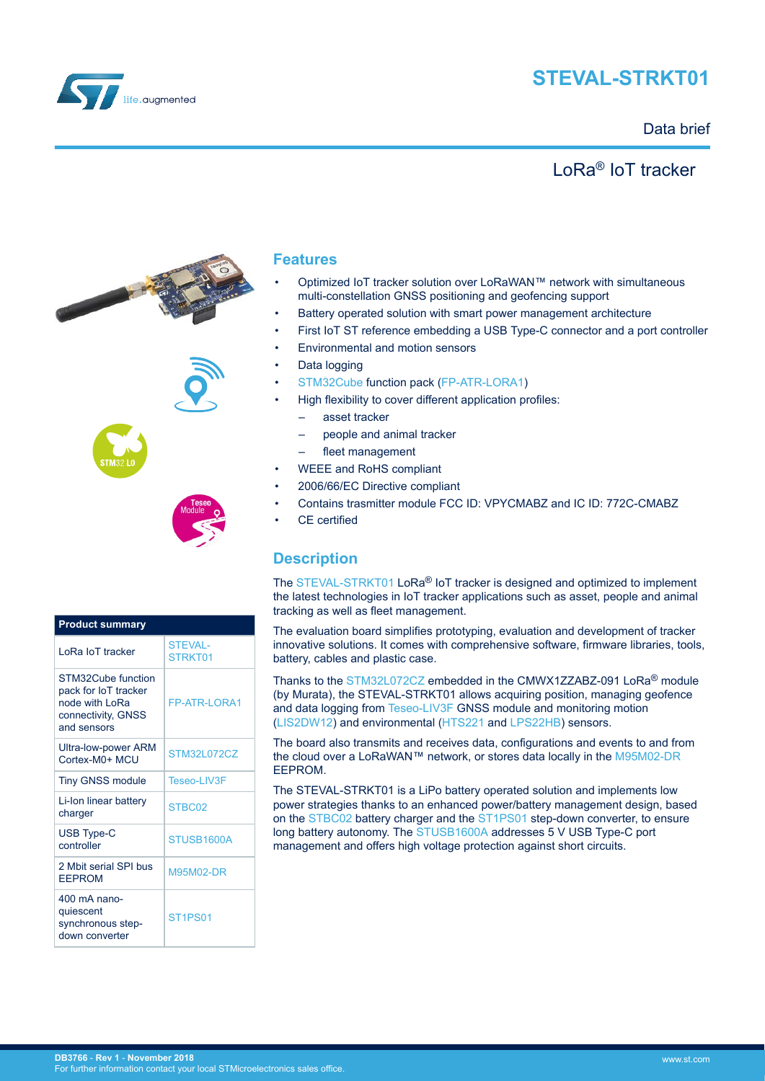

# **STEVAL-STRKT01**

## Data brief

## LoRa® IoT tracker





| <b>Product summary</b>                                                                            |                                  |  |
|---------------------------------------------------------------------------------------------------|----------------------------------|--|
| LoRa IoT tracker                                                                                  | <b>STEVAL-</b><br>STRKT01        |  |
| STM32Cube function<br>pack for IoT tracker<br>node with LoRa<br>connectivity, GNSS<br>and sensors | <b>FP-ATR-I ORA1</b>             |  |
| <b>Ultra-low-power ARM</b><br>Cortex-M0+ MCU                                                      | <b>STM32L072CZ</b>               |  |
| <b>Tiny GNSS module</b>                                                                           | Teseo-LIV3F                      |  |
| Li-Ion linear battery<br>charger                                                                  | STBC02                           |  |
| <b>USB Type-C</b><br>controller                                                                   | STUSB1600A                       |  |
| 2 Mbit serial SPI bus<br><b>EEPROM</b>                                                            | M95M02-DR                        |  |
| 400 mA nano-<br>quiescent<br>synchronous step-<br>down converter                                  | ST <sub>1</sub> PS <sub>01</sub> |  |

### **Features**

- Optimized IoT tracker solution over LoRaWAN™ network with simultaneous multi-constellation GNSS positioning and geofencing support
- Battery operated solution with smart power management architecture
- First IoT ST reference embedding a USB Type-C connector and a port controller
- Environmental and motion sensors
- Data logging
- [STM32Cube](http://www.st.com/stm32cube) function pack ([FP-ATR-LORA1\)](https://www.st.com/en/product/fp-atr-lora1)
- High flexibility to cover different application profiles:
	- asset tracker
	- people and animal tracker
	- fleet management
- WEEE and RoHS compliant
- 2006/66/EC Directive compliant
- Contains trasmitter module FCC ID: VPYCMABZ and IC ID: 772C-CMABZ
- CE certified

## **Description**

The [STEVAL-STRKT01](https://www.st.com/en/product/steval-strkt01) LoRa<sup>®</sup> IoT tracker is designed and optimized to implement the latest technologies in IoT tracker applications such as asset, people and animal tracking as well as fleet management.

The evaluation board simplifies prototyping, evaluation and development of tracker innovative solutions. It comes with comprehensive software, firmware libraries, tools, battery, cables and plastic case.

Thanks to the [STM32L072CZ](https://www.st.com/en/product/STM32L072CZ) embedded in the CMWX1ZZABZ-091 LoRa® module (by Murata), the STEVAL-STRKT01 allows acquiring position, managing geofence and data logging from [Teseo-LIV3F](https://www.st.com/en/product/teseo-liv3f) GNSS module and monitoring motion ([LIS2DW12](https://www.st.com/en/product/lis2dw12)) and environmental [\(HTS221](https://www.st.com/en/product/hts221) and [LPS22HB\)](https://www.st.com/en/product/lps22hb) sensors.

The board also transmits and receives data, configurations and events to and from the cloud over a LoRaWAN™ network, or stores data locally in the [M95M02-DR](https://www.st.com/en/product/M95M02-DR) EEPROM.

The STEVAL-STRKT01 is a LiPo battery operated solution and implements low power strategies thanks to an enhanced power/battery management design, based on the [STBC02](https://www.st.com/en/product/STBC02) battery charger and the [ST1PS01](https://www.st.com/en/product/ST1PS01) step-down converter, to ensure long battery autonomy. The [STUSB1600A](https://www.st.com/en/product/STUSB1600) addresses 5 V USB Type-C port management and offers high voltage protection against short circuits.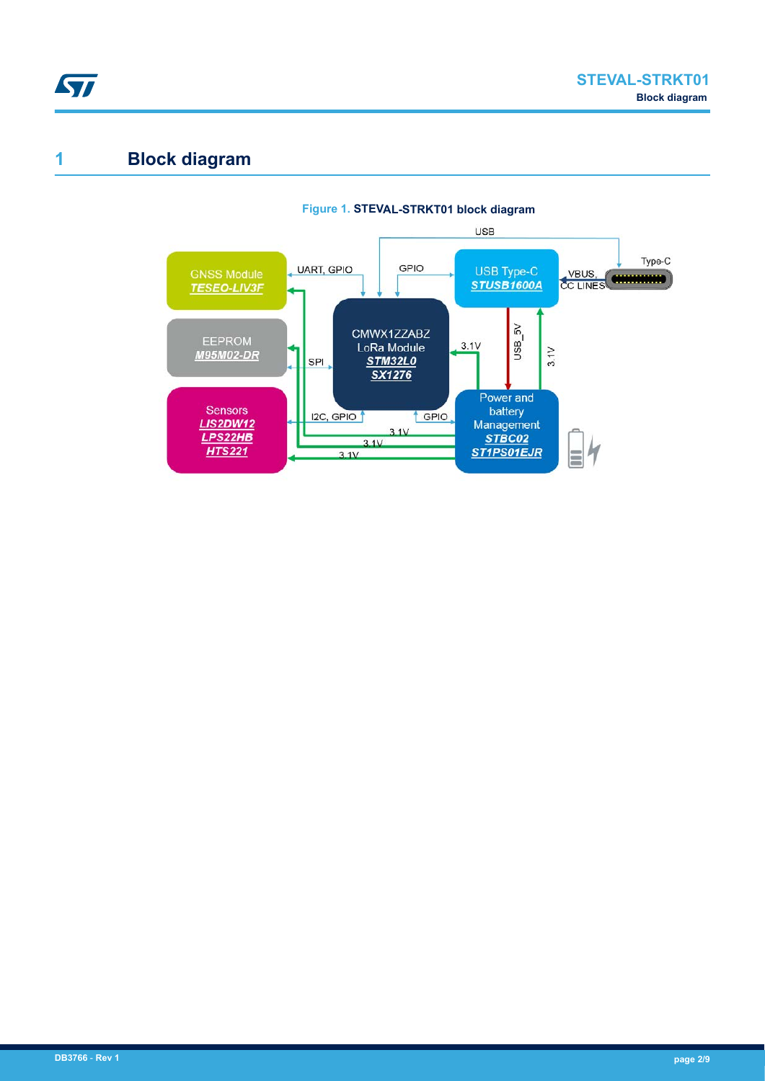

## **1 Block diagram**

ST

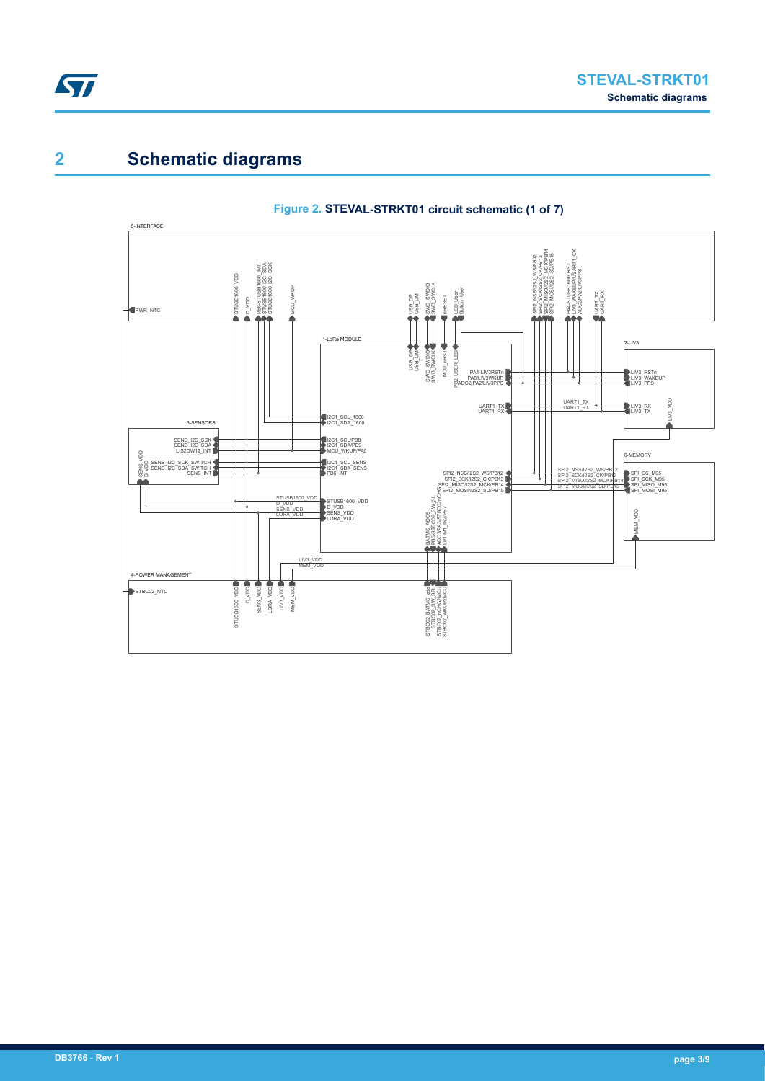

# **2 Schematic diagrams**



### **Figure 2. STEVAL-STRKT01 circuit schematic (1 of 7)**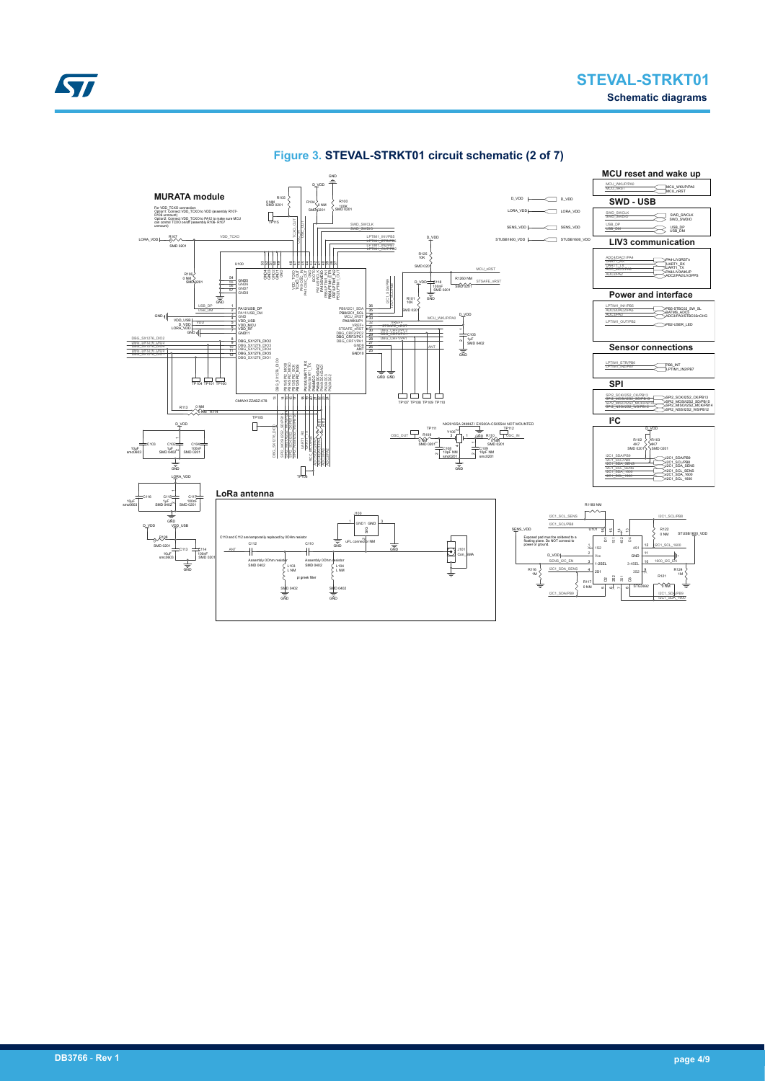



### **Figure 3. STEVAL-STRKT01 circuit schematic (2 of 7)**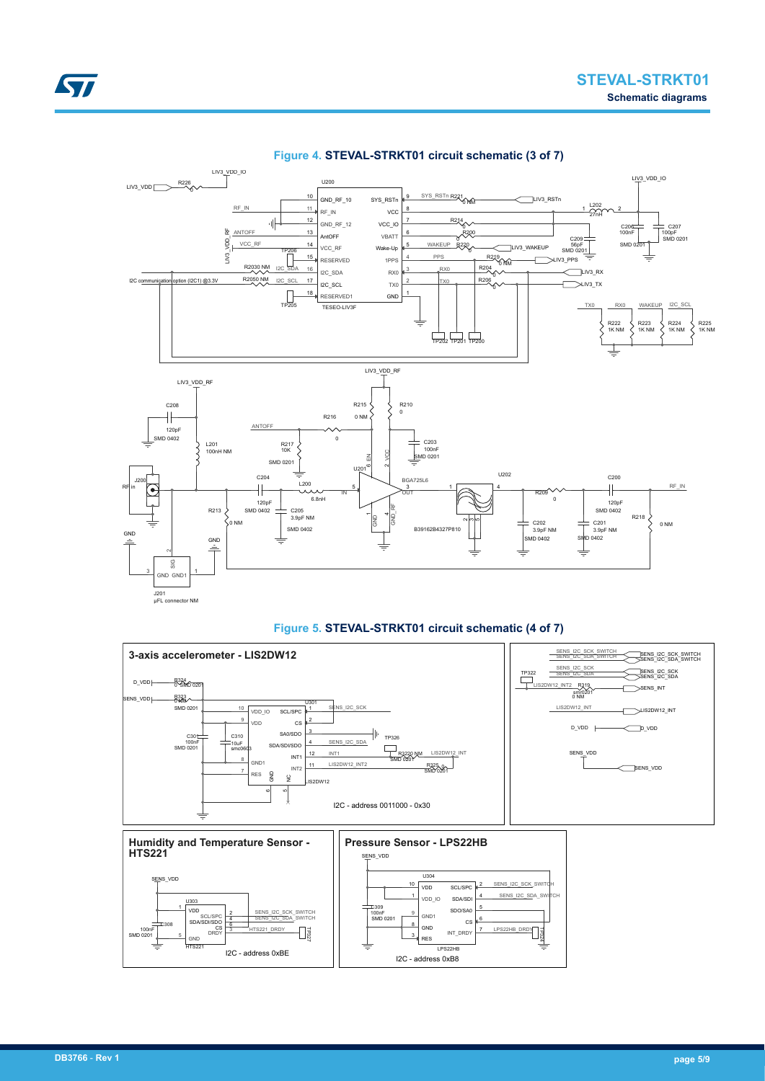

#### **Figure 4. STEVAL-STRKT01 circuit schematic (3 of 7)**



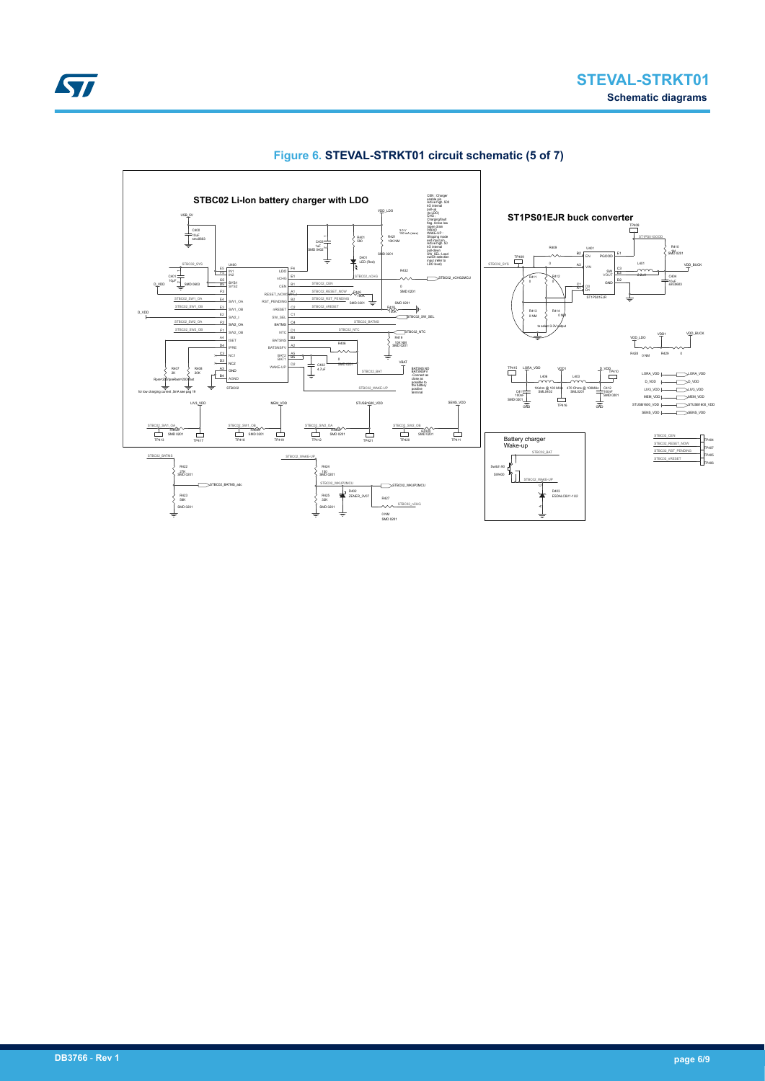

### **Figure 6. STEVAL-STRKT01 circuit schematic (5 of 7)**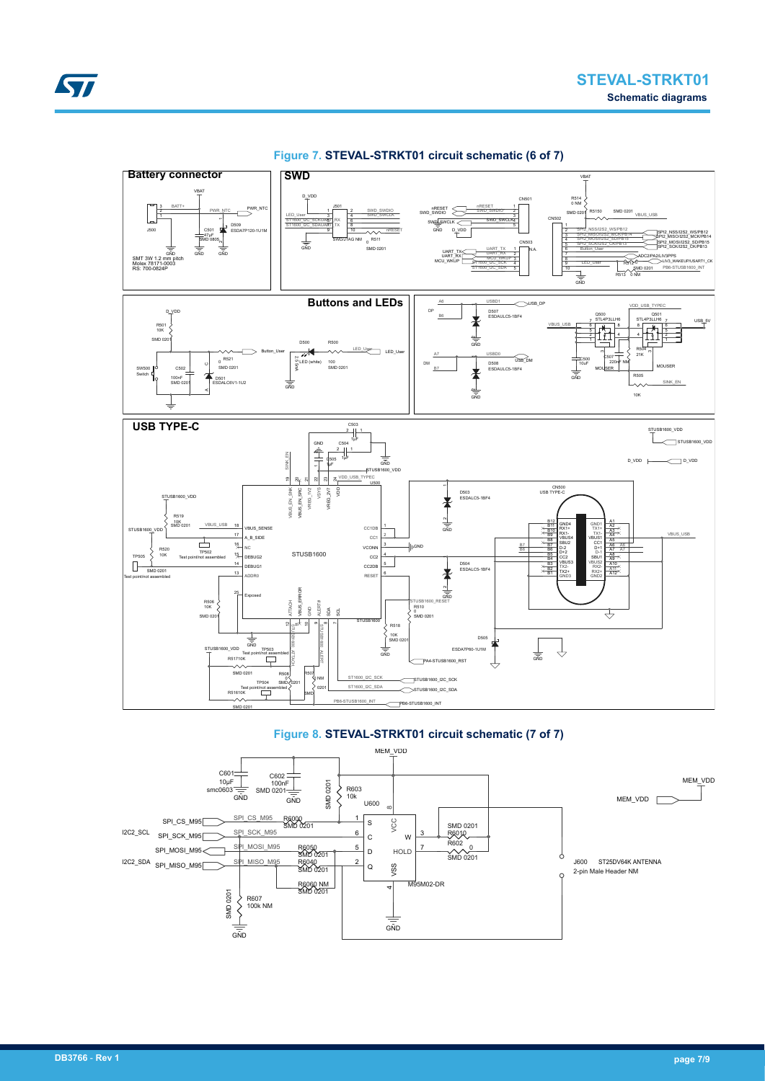

**Figure 7. STEVAL-STRKT01 circuit schematic (6 of 7)**



SMD 0201

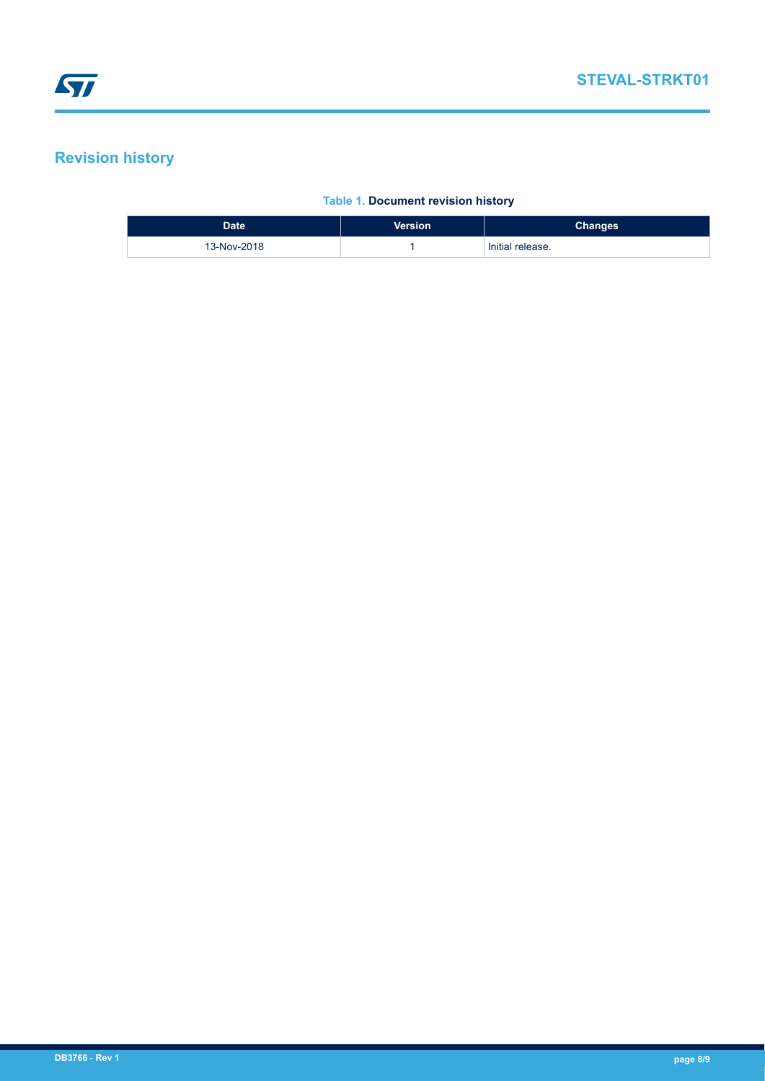# **Revision history**

### **Table 1. Document revision history**

| <b>Date</b> | <b>Version</b> | <b>Changes</b>   |
|-------------|----------------|------------------|
| 13-Nov-2018 |                | Initial release. |